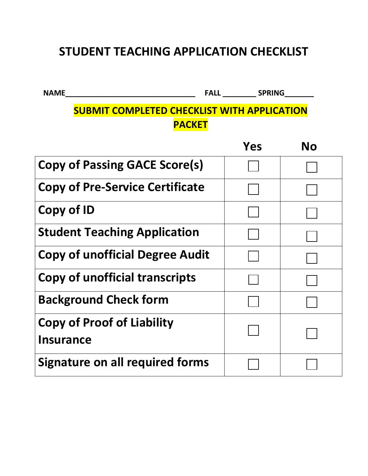# **STUDENT TEACHING APPLICATION CHECKLIST**

**NAME\_\_\_\_\_\_\_\_\_\_\_\_\_\_\_\_\_\_\_\_\_\_\_\_\_\_\_\_\_\_\_ FALL \_\_\_\_\_\_\_\_ SPRING\_\_\_\_\_\_\_**

## **SUBMIT COMPLETED CHECKLIST WITH APPLICATION PACKET**

|                                                       | Yes | No |
|-------------------------------------------------------|-----|----|
| <b>Copy of Passing GACE Score(s)</b>                  |     |    |
| <b>Copy of Pre-Service Certificate</b>                |     |    |
| Copy of ID                                            |     |    |
| <b>Student Teaching Application</b>                   |     |    |
| <b>Copy of unofficial Degree Audit</b>                |     |    |
| <b>Copy of unofficial transcripts</b>                 |     |    |
| <b>Background Check form</b>                          |     |    |
| <b>Copy of Proof of Liability</b><br><b>Insurance</b> |     |    |
| <b>Signature on all required forms</b>                |     |    |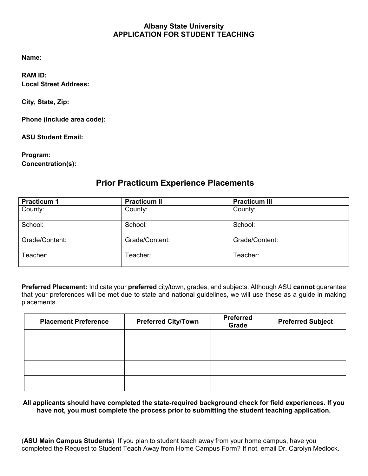#### **Albany State University APPLICATION FOR STUDENT TEACHING**

**Name:**

**RAM ID: Local Street Address:**

**City, State, Zip:** 

**Phone (include area code):**

**ASU Student Email:** 

**Program: Concentration(s):**

### **Prior Practicum Experience Placements**

| <b>Practicum 1</b> | <b>Practicum II</b> | <b>Practicum III</b> |  |
|--------------------|---------------------|----------------------|--|
| County:            | County:             | County:              |  |
| School:            | School:             | School:              |  |
| Grade/Content:     | Grade/Content:      | Grade/Content:       |  |
| Teacher:           | Teacher:            | Teacher:             |  |

**Preferred Placement:** Indicate your **preferred** city/town, grades, and subjects. Although ASU **cannot** guarantee that your preferences will be met due to state and national guidelines, we will use these as a guide in making placements.

| <b>Placement Preference</b> | <b>Preferred City/Town</b> | <b>Preferred</b><br>Grade | <b>Preferred Subject</b> |
|-----------------------------|----------------------------|---------------------------|--------------------------|
|                             |                            |                           |                          |
|                             |                            |                           |                          |
|                             |                            |                           |                          |
|                             |                            |                           |                          |

#### **All applicants should have completed the state-required background check for field experiences. If you have not, you must complete the process prior to submitting the student teaching application.**

(**ASU Main Campus Students**) If you plan to student teach away from your home campus, have you completed the Request to Student Teach Away from Home Campus Form? If not, email Dr. Carolyn Medlock.